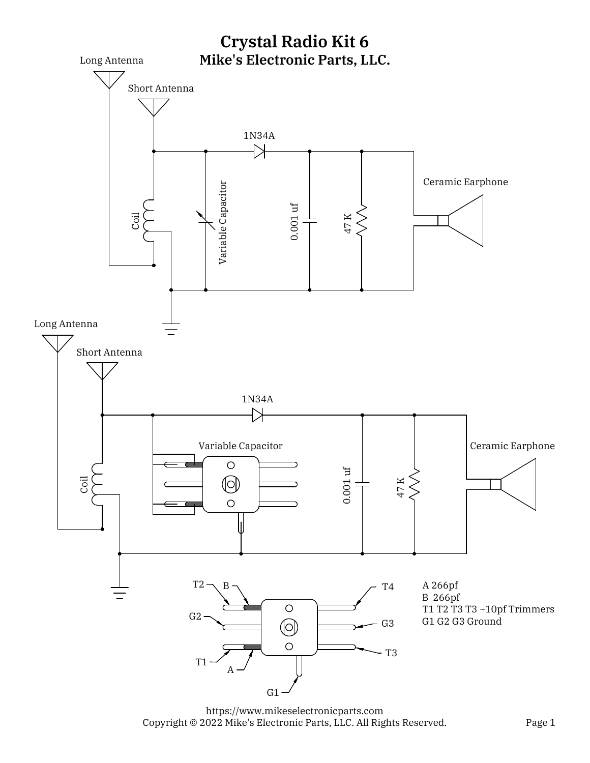

https://www.mikeselectronicparts.com Copyright © 2022 Mike's Electronic Parts, LLC. All Rights Reserved.